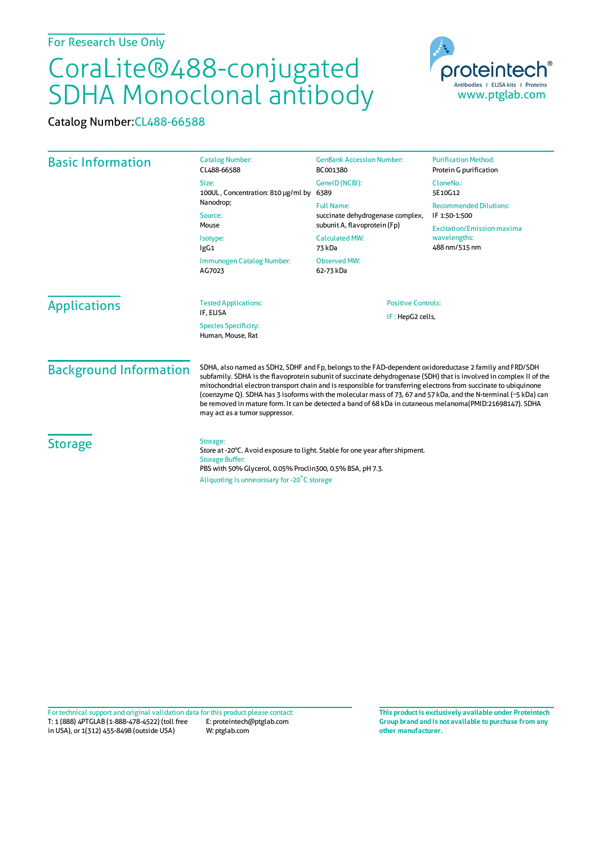## CoraLite®488-conjugated SDHA Monoclonal antibody

Catalog Number:CL488-66588

| <b>Basic Information</b>                                             | <b>Catalog Number:</b><br>CL488-66588                                                                                                                                                                                                                                                                                                                                                                                                                                                                                                                                                                                | <b>GenBank Accession Number:</b><br>BC001380                                                                                                          | <b>Purification Method:</b><br>Protein G purification              |                     |
|----------------------------------------------------------------------|----------------------------------------------------------------------------------------------------------------------------------------------------------------------------------------------------------------------------------------------------------------------------------------------------------------------------------------------------------------------------------------------------------------------------------------------------------------------------------------------------------------------------------------------------------------------------------------------------------------------|-------------------------------------------------------------------------------------------------------------------------------------------------------|--------------------------------------------------------------------|---------------------|
|                                                                      | Size:<br>100UL, Concentration: 810 µg/ml by<br>Nanodrop;<br>Source:<br>Mouse<br>Isotype:<br>lgG1<br>Immunogen Catalog Number:<br>AG7023                                                                                                                                                                                                                                                                                                                                                                                                                                                                              | GeneID (NCBI):<br>6389                                                                                                                                | CloneNo.:<br>5E10G12                                               |                     |
|                                                                      |                                                                                                                                                                                                                                                                                                                                                                                                                                                                                                                                                                                                                      | <b>Full Name:</b><br>succinate dehydrogenase complex,<br>subunit A, flavoprotein (Fp)<br><b>Calculated MW:</b><br>73 kDa<br>Observed MW:<br>62-73 kDa | <b>Recommended Dilutions:</b><br>IF 1:50-1:500                     |                     |
|                                                                      |                                                                                                                                                                                                                                                                                                                                                                                                                                                                                                                                                                                                                      |                                                                                                                                                       | <b>Excitation/Emission maxima</b><br>wavelengths:<br>488 nm/515 nm |                     |
|                                                                      |                                                                                                                                                                                                                                                                                                                                                                                                                                                                                                                                                                                                                      |                                                                                                                                                       |                                                                    | <b>Applications</b> |
| IF: HepG2 cells,<br><b>Species Specificity:</b><br>Human, Mouse, Rat |                                                                                                                                                                                                                                                                                                                                                                                                                                                                                                                                                                                                                      |                                                                                                                                                       |                                                                    |                     |
| <b>Background Information</b>                                        | SDHA, also named as SDH2, SDHF and Fp, belongs to the FAD-dependent oxidoreductase 2 family and FRD/SDH<br>subfamily. SDHA is the flavoprotein subunit of succinate dehydrogenase (SDH) that is involved in complex II of the<br>mitochondrial electron transport chain and is responsible for transferring electrons from succinate to ubiquinone<br>(coenzyme Q). SDHA has 3 isoforms with the molecular mass of 73, 67 and 57 kDa, and the N-terminal (~5 kDa) can<br>be removed in mature form. It can be detected a band of 68 kDa in cutaneous melanoma(PMID:21698147). SDHA<br>may act as a tumor suppressor. |                                                                                                                                                       |                                                                    |                     |
| <b>Storage</b>                                                       | Storage:<br>Store at -20°C. Avoid exposure to light. Stable for one year after shipment.<br><b>Storage Buffer:</b><br>PBS with 50% Glycerol, 0.05% Proclin300, 0.5% BSA, pH 7.3.<br>Aliquoting is unnecessary for -20°C storage                                                                                                                                                                                                                                                                                                                                                                                      |                                                                                                                                                       |                                                                    |                     |

T: 1 (888) 4PTGLAB (1-888-478-4522) (toll free in USA), or 1(312) 455-8498 (outside USA) E: proteintech@ptglab.com W: ptglab.com Fortechnical support and original validation data forthis product please contact: **This productis exclusively available under Proteintech**

**Group brand and is not available to purchase from any other manufacturer.**